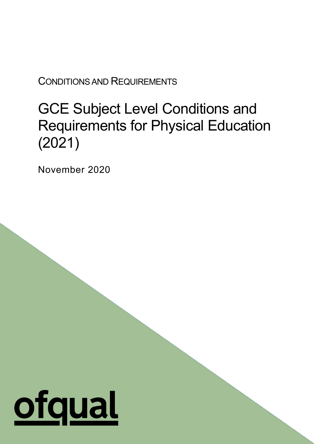CONDITIONS AND REQUIREMENTS

# GCE Subject Level Conditions and Requirements for Physical Education (2021)

1

November 2020

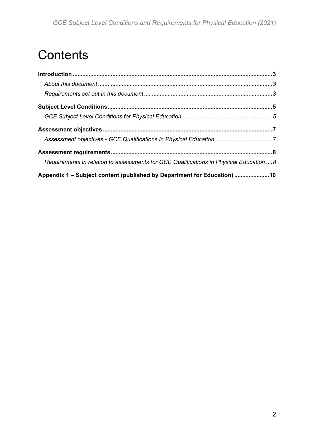# **Contents**

| Requirements in relation to assessments for GCE Qualifications in Physical Education  8 |  |
|-----------------------------------------------------------------------------------------|--|
| Appendix 1 – Subject content (published by Department for Education) 10                 |  |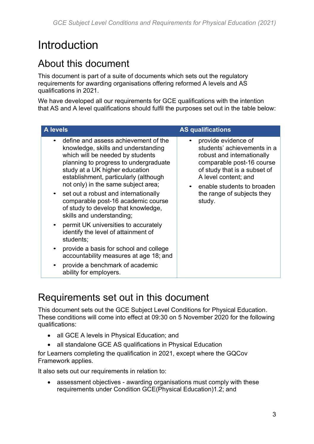# <span id="page-2-0"></span>**Introduction**

### <span id="page-2-1"></span>About this document

This document is part of a suite of documents which sets out the regulatory requirements for awarding organisations offering reformed A levels and AS qualifications in 2021.

We have developed all our requirements for GCE qualifications with the intention that AS and A level qualifications should fulfil the purposes set out in the table below:

| <b>A</b> levels                                                                                                                                                                                                                                                                                                                                                                                                                                                                                                                                                                                                                                                           | <b>AS qualifications</b>                                                                                                                                                                                                                    |  |
|---------------------------------------------------------------------------------------------------------------------------------------------------------------------------------------------------------------------------------------------------------------------------------------------------------------------------------------------------------------------------------------------------------------------------------------------------------------------------------------------------------------------------------------------------------------------------------------------------------------------------------------------------------------------------|---------------------------------------------------------------------------------------------------------------------------------------------------------------------------------------------------------------------------------------------|--|
| define and assess achievement of the<br>knowledge, skills and understanding<br>which will be needed by students<br>planning to progress to undergraduate<br>study at a UK higher education<br>establishment, particularly (although<br>not only) in the same subject area;<br>set out a robust and internationally<br>comparable post-16 academic course<br>of study to develop that knowledge,<br>skills and understanding;<br>permit UK universities to accurately<br>identify the level of attainment of<br>students;<br>provide a basis for school and college<br>accountability measures at age 18; and<br>provide a benchmark of academic<br>ability for employers. | provide evidence of<br>students' achievements in a<br>robust and internationally<br>comparable post-16 course<br>of study that is a subset of<br>A level content; and<br>enable students to broaden<br>the range of subjects they<br>study. |  |

### <span id="page-2-2"></span>Requirements set out in this document

This document sets out the GCE Subject Level Conditions for Physical Education. These conditions will come into effect at 09:30 on 5 November 2020 for the following qualifications:

- all GCE A levels in Physical Education; and
- all standalone GCE AS qualifications in Physical Education

for Learners completing the qualification in 2021, except where the GQCov Framework applies.

It also sets out our requirements in relation to:

• assessment objectives - awarding organisations must comply with these requirements under Condition GCE(Physical Education)1.2; and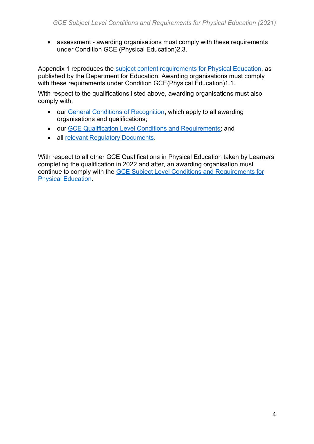• assessment - awarding organisations must comply with these requirements under Condition GCE (Physical Education)2.3.

Appendix 1 reproduces the [subject content requirements for Physical Education,](https://www.gov.uk/government/publications/gce-as-and-a-level-physical-education) as published by the Department for Education. Awarding organisations must comply with these requirements under Condition GCE(Physical Education)1.1.

With respect to the qualifications listed above, awarding organisations must also comply with:

- our [General Conditions of Recognition,](https://www.gov.uk/government/publications/general-conditions-of-recognition) which apply to all awarding organisations and qualifications;
- our [GCE Qualification Level Conditions and Requirements;](https://www.gov.uk/government/publications/gce-qualification-level-conditions-and-requirements) and
- all [relevant Regulatory Documents.](https://www.gov.uk/government/publications/regulatory-documents-list)

With respect to all other GCE Qualifications in Physical Education taken by Learners completing the qualification in 2022 and after, an awarding organisation must continue to comply with the [GCE Subject Level Conditions and Requirements for](https://www.gov.uk/government/publications/gce-subject-level-conditions-and-requirements-for-physical-education)  [Physical Education.](https://www.gov.uk/government/publications/gce-subject-level-conditions-and-requirements-for-physical-education)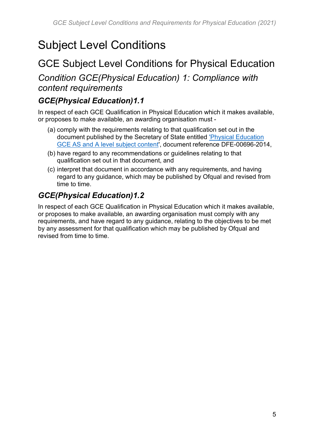# <span id="page-4-0"></span>Subject Level Conditions

### <span id="page-4-1"></span>GCE Subject Level Conditions for Physical Education

*Condition GCE(Physical Education) 1: Compliance with content requirements*

#### *GCE(Physical Education)1.1*

In respect of each GCE Qualification in Physical Education which it makes available, or proposes to make available, an awarding organisation must -

- (a) comply with the requirements relating to that qualification set out in the document published by the Secretary of State entitled ['Physical Education](https://www.gov.uk/government/publications/gce-as-and-a-level-physical-education)  [GCE AS and A level subject content'](https://www.gov.uk/government/publications/gce-as-and-a-level-physical-education), document reference DFE-00696-2014,
- (b) have regard to any recommendations or guidelines relating to that qualification set out in that document, and
- (c) interpret that document in accordance with any requirements, and having regard to any guidance, which may be published by Ofqual and revised from time to time.

### *GCE(Physical Education)1.2*

In respect of each GCE Qualification in Physical Education which it makes available, or proposes to make available, an awarding organisation must comply with any requirements, and have regard to any guidance, relating to the objectives to be met by any assessment for that qualification which may be published by Ofqual and revised from time to time.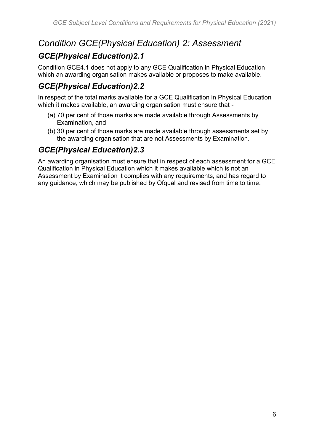### *Condition GCE(Physical Education) 2: Assessment*

### *GCE(Physical Education)2.1*

Condition GCE4.1 does not apply to any GCE Qualification in Physical Education which an awarding organisation makes available or proposes to make available.

### *GCE(Physical Education)2.2*

In respect of the total marks available for a GCE Qualification in Physical Education which it makes available, an awarding organisation must ensure that -

- (a) 70 per cent of those marks are made available through Assessments by Examination, and
- (b) 30 per cent of those marks are made available through assessments set by the awarding organisation that are not Assessments by Examination.

### *GCE(Physical Education)2.3*

An awarding organisation must ensure that in respect of each assessment for a GCE Qualification in Physical Education which it makes available which is not an Assessment by Examination it complies with any requirements, and has regard to any guidance, which may be published by Ofqual and revised from time to time.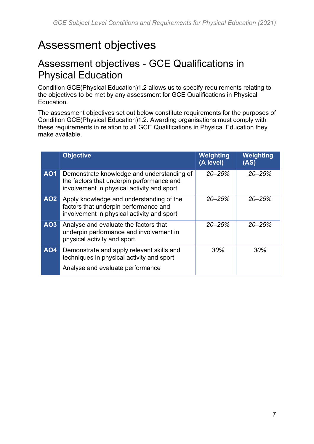# <span id="page-6-0"></span>Assessment objectives

### <span id="page-6-1"></span>Assessment objectives - GCE Qualifications in Physical Education

Condition GCE(Physical Education)1.2 allows us to specify requirements relating to the objectives to be met by any assessment for GCE Qualifications in Physical Education.

The assessment objectives set out below constitute requirements for the purposes of Condition GCE(Physical Education)1.2. Awarding organisations must comply with these requirements in relation to all GCE Qualifications in Physical Education they make available.

|            | <b>Objective</b>                                                                                                                      | Weighting<br>(A level) | Weighting<br>(AS) |
|------------|---------------------------------------------------------------------------------------------------------------------------------------|------------------------|-------------------|
| <b>AO1</b> | Demonstrate knowledge and understanding of<br>the factors that underpin performance and<br>involvement in physical activity and sport | $20 - 25%$             | $20 - 25%$        |
| <b>AO2</b> | Apply knowledge and understanding of the<br>factors that underpin performance and<br>involvement in physical activity and sport       | $20 - 25%$             | $20 - 25%$        |
| <b>AO3</b> | Analyse and evaluate the factors that<br>underpin performance and involvement in<br>physical activity and sport.                      | $20 - 25%$             | $20 - 25%$        |
| <b>AO4</b> | Demonstrate and apply relevant skills and<br>techniques in physical activity and sport<br>Analyse and evaluate performance            | 30%                    | 30%               |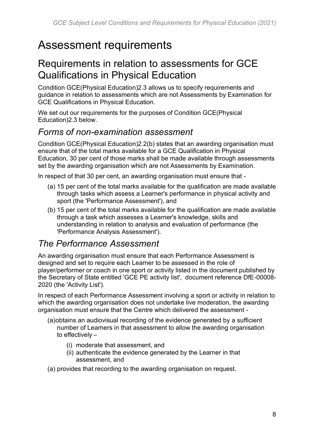## <span id="page-7-0"></span>Assessment requirements

### <span id="page-7-1"></span>Requirements in relation to assessments for GCE Qualifications in Physical Education

Condition GCE(Physical Education)2.3 allows us to specify requirements and guidance in relation to assessments which are not Assessments by Examination for GCE Qualifications in Physical Education.

We set out our requirements for the purposes of Condition GCE(Physical Education)2.3 below.

### *Forms of non-examination assessment*

Condition GCE(Physical Education)2.2(b) states that an awarding organisation must ensure that of the total marks available for a GCE Qualification in Physical Education, 30 per cent of those marks shall be made available through assessments set by the awarding organisation which are not Assessments by Examination.

In respect of that 30 per cent, an awarding organisation must ensure that -

- (a) 15 per cent of the total marks available for the qualification are made available through tasks which assess a Learner's performance in physical activity and sport (the 'Performance Assessment'), and
- (b) 15 per cent of the total marks available for the qualification are made available through a task which assesses a Learner's knowledge, skills and understanding in relation to analysis and evaluation of performance (the 'Performance Analysis Assessment').

### *The Performance Assessment*

An awarding organisation must ensure that each Performance Assessment is designed and set to require each Learner to be assessed in the role of player/performer or coach in one sport or activity listed in the document published by the Secretary of State entitled 'GCE PE activity list', document reference DfE-00008- 2020 (the 'Activity List').

In respect of each Performance Assessment involving a sport or activity in relation to which the awarding organisation does not undertake live moderation, the awarding organisation must ensure that the Centre which delivered the assessment -

- (a)obtains an audiovisual recording of the evidence generated by a sufficient number of Learners in that assessment to allow the awarding organisation to effectively –
	- (i) moderate that assessment, and
	- (ii) authenticate the evidence generated by the Learner in that assessment, and
- (a) provides that recording to the awarding organisation on request.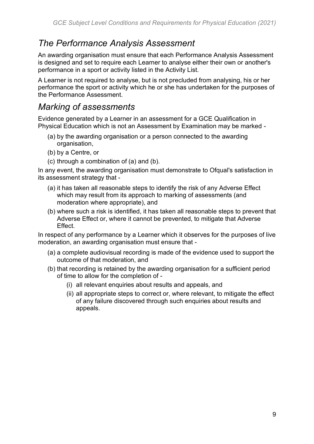### *The Performance Analysis Assessment*

An awarding organisation must ensure that each Performance Analysis Assessment is designed and set to require each Learner to analyse either their own or another's performance in a sport or activity listed in the Activity List.

A Learner is not required to analyse, but is not precluded from analysing, his or her performance the sport or activity which he or she has undertaken for the purposes of the Performance Assessment.

### *Marking of assessments*

Evidence generated by a Learner in an assessment for a GCE Qualification in Physical Education which is not an Assessment by Examination may be marked -

- (a) by the awarding organisation or a person connected to the awarding organisation,
- (b) by a Centre, or
- (c) through a combination of (a) and (b).

In any event, the awarding organisation must demonstrate to Ofqual's satisfaction in its assessment strategy that -

- (a) it has taken all reasonable steps to identify the risk of any Adverse Effect which may result from its approach to marking of assessments (and moderation where appropriate), and
- (b) where such a risk is identified, it has taken all reasonable steps to prevent that Adverse Effect or, where it cannot be prevented, to mitigate that Adverse Effect.

In respect of any performance by a Learner which it observes for the purposes of live moderation, an awarding organisation must ensure that -

- (a) a complete audiovisual recording is made of the evidence used to support the outcome of that moderation, and
- (b) that recording is retained by the awarding organisation for a sufficient period of time to allow for the completion of -
	- (i) all relevant enquiries about results and appeals, and
	- (ii) all appropriate steps to correct or, where relevant, to mitigate the effect of any failure discovered through such enquiries about results and appeals.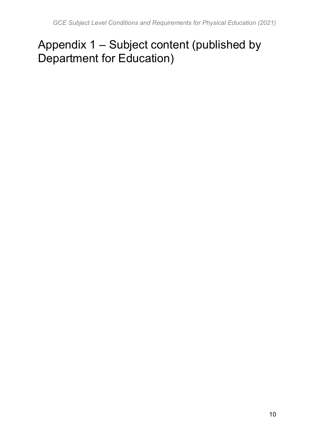# <span id="page-9-0"></span>Appendix 1 – Subject content (published by Department for Education)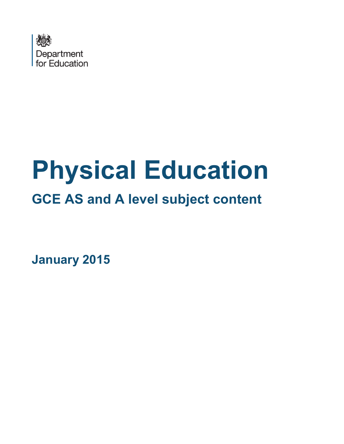

# **Physical Education GCE AS and A level subject content**

**January 2015**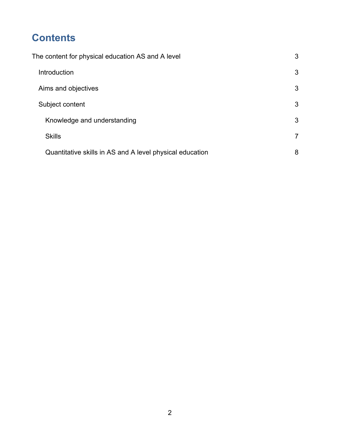### **Contents**

| The content for physical education AS and A level |                                                          | 3              |
|---------------------------------------------------|----------------------------------------------------------|----------------|
|                                                   | Introduction                                             | 3              |
|                                                   | Aims and objectives                                      | 3              |
|                                                   | Subject content                                          | 3              |
|                                                   | Knowledge and understanding                              | 3              |
|                                                   | <b>Skills</b>                                            | $\overline{7}$ |
|                                                   | Quantitative skills in AS and A level physical education | 8              |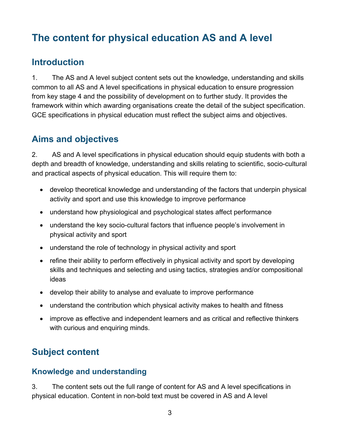### <span id="page-12-0"></span>**The content for physical education AS and A level**

#### <span id="page-12-1"></span>**Introduction**

1. The AS and A level subject content sets out the knowledge, understanding and skills common to all AS and A level specifications in physical education to ensure progression from key stage 4 and the possibility of development on to further study. It provides the framework within which awarding organisations create the detail of the subject specification. GCE specifications in physical education must reflect the subject aims and objectives.

#### <span id="page-12-2"></span>**Aims and objectives**

2. AS and A level specifications in physical education should equip students with both a depth and breadth of knowledge, understanding and skills relating to scientific, socio-cultural and practical aspects of physical education. This will require them to:

- develop theoretical knowledge and understanding of the factors that underpin physical activity and sport and use this knowledge to improve performance
- understand how physiological and psychological states affect performance
- understand the key socio-cultural factors that influence people's involvement in physical activity and sport
- understand the role of technology in physical activity and sport
- refine their ability to perform effectively in physical activity and sport by developing skills and techniques and selecting and using tactics, strategies and/or compositional ideas
- develop their ability to analyse and evaluate to improve performance
- understand the contribution which physical activity makes to health and fitness
- improve as effective and independent learners and as critical and reflective thinkers with curious and enquiring minds.

### <span id="page-12-3"></span>**Subject content**

#### <span id="page-12-4"></span>**Knowledge and understanding**

3. The content sets out the full range of content for AS and A level specifications in physical education. Content in non-bold text must be covered in AS and A level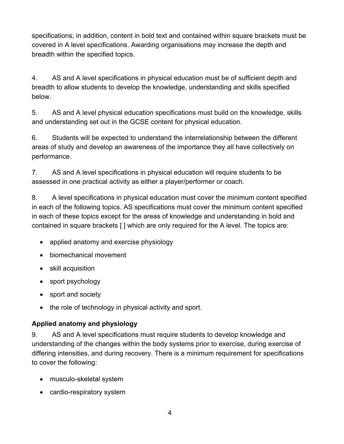specifications; in addition, content in bold text and contained within square brackets must be covered in A level specifications. Awarding organisations may increase the depth and breadth within the specified topics.

4. AS and A level specifications in physical education must be of sufficient depth and breadth to allow students to develop the knowledge, understanding and skills specified below.

5. AS and A level physical education specifications must build on the knowledge, skills and understanding set out in the GCSE content for physical education.

6. Students will be expected to understand the interrelationship between the different areas of study and develop an awareness of the importance they all have collectively on performance.

7. AS and A level specifications in physical education will require students to be assessed in one practical activity as either a player/performer or coach.

8. A level specifications in physical education must cover the minimum content specified in each of the following topics. AS specifications must cover the minimum content specified in each of these topics except for the areas of knowledge and understanding in bold and contained in square brackets [ ] which are only required for the A level. The topics are:

- applied anatomy and exercise physiology
- biomechanical movement
- skill acquisition
- sport psychology
- sport and society
- the role of technology in physical activity and sport.

#### **Applied anatomy and physiology**

9. AS and A level specifications must require students to develop knowledge and understanding of the changes within the body systems prior to exercise, during exercise of differing intensities, and during recovery. There is a minimum requirement for specifications to cover the following:

- musculo-skeletal system
- cardio-respiratory system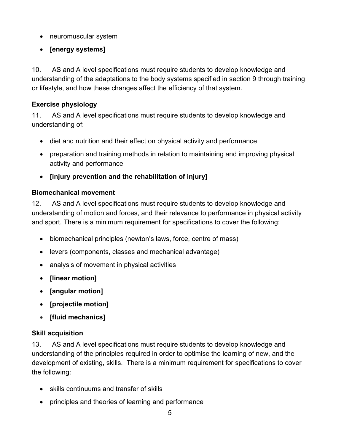- neuromuscular system
- **[energy systems]**

10. AS and A level specifications must require students to develop knowledge and understanding of the adaptations to the body systems specified in section 9 through training or lifestyle, and how these changes affect the efficiency of that system.

#### **Exercise physiology**

11. AS and A level specifications must require students to develop knowledge and understanding of:

- diet and nutrition and their effect on physical activity and performance
- preparation and training methods in relation to maintaining and improving physical activity and performance
- **[injury prevention and the rehabilitation of injury]**

#### **Biomechanical movement**

12. AS and A level specifications must require students to develop knowledge and understanding of motion and forces, and their relevance to performance in physical activity and sport. There is a minimum requirement for specifications to cover the following:

- biomechanical principles (newton's laws, force, centre of mass)
- levers (components, classes and mechanical advantage)
- analysis of movement in physical activities
- **[linear motion]**
- **[angular motion]**
- **[projectile motion]**
- **[fluid mechanics]**

#### **Skill acquisition**

13. AS and A level specifications must require students to develop knowledge and understanding of the principles required in order to optimise the learning of new, and the development of existing, skills. There is a minimum requirement for specifications to cover the following:

- skills continuums and transfer of skills
- principles and theories of learning and performance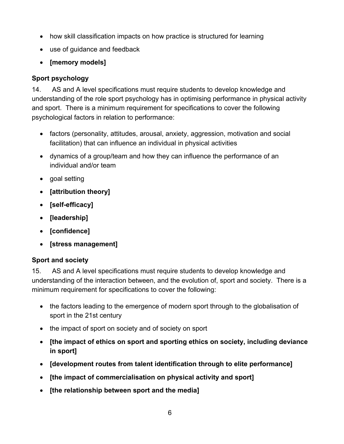- how skill classification impacts on how practice is structured for learning
- use of guidance and feedback
- **[memory models]**

#### **Sport psychology**

14. AS and A level specifications must require students to develop knowledge and understanding of the role sport psychology has in optimising performance in physical activity and sport. There is a minimum requirement for specifications to cover the following psychological factors in relation to performance:

- factors (personality, attitudes, arousal, anxiety, aggression, motivation and social facilitation) that can influence an individual in physical activities
- dynamics of a group/team and how they can influence the performance of an individual and/or team
- goal setting
- **[attribution theory]**
- **[self-efficacy]**
- **[leadership]**
- **[confidence]**
- **[stress management]**

#### **Sport and society**

15. AS and A level specifications must require students to develop knowledge and understanding of the interaction between, and the evolution of, sport and society. There is a minimum requirement for specifications to cover the following:

- the factors leading to the emergence of modern sport through to the globalisation of sport in the 21st century
- the impact of sport on society and of society on sport
- **[the impact of ethics on sport and sporting ethics on society, including deviance in sport]**
- **[development routes from talent identification through to elite performance]**
- **[the impact of commercialisation on physical activity and sport]**
- **[the relationship between sport and the media]**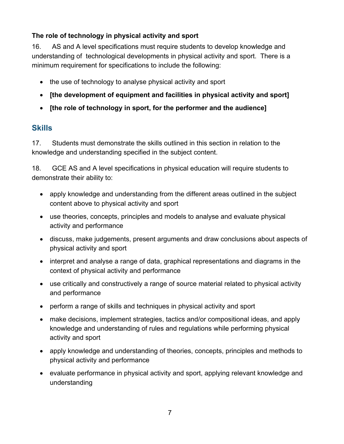#### **The role of technology in physical activity and sport**

16. AS and A level specifications must require students to develop knowledge and understanding of technological developments in physical activity and sport. There is a minimum requirement for specifications to include the following:

- the use of technology to analyse physical activity and sport
- **[the development of equipment and facilities in physical activity and sport]**
- **[the role of technology in sport, for the performer and the audience]**

#### <span id="page-16-0"></span>**Skills**

17. Students must demonstrate the skills outlined in this section in relation to the knowledge and understanding specified in the subject content.

18. GCE AS and A level specifications in physical education will require students to demonstrate their ability to:

- apply knowledge and understanding from the different areas outlined in the subject content above to physical activity and sport
- use theories, concepts, principles and models to analyse and evaluate physical activity and performance
- discuss, make judgements, present arguments and draw conclusions about aspects of physical activity and sport
- interpret and analyse a range of data, graphical representations and diagrams in the context of physical activity and performance
- use critically and constructively a range of source material related to physical activity and performance
- perform a range of skills and techniques in physical activity and sport
- make decisions, implement strategies, tactics and/or compositional ideas, and apply knowledge and understanding of rules and regulations while performing physical activity and sport
- apply knowledge and understanding of theories, concepts, principles and methods to physical activity and performance
- evaluate performance in physical activity and sport, applying relevant knowledge and understanding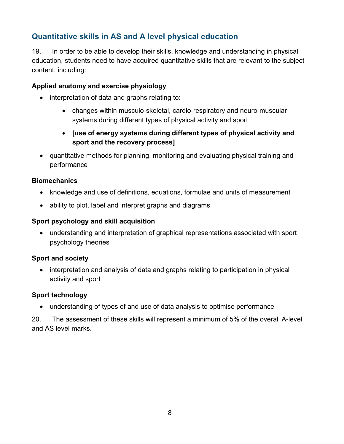#### <span id="page-17-0"></span>**Quantitative skills in AS and A level physical education**

19. In order to be able to develop their skills, knowledge and understanding in physical education, students need to have acquired quantitative skills that are relevant to the subject content, including:

#### **Applied anatomy and exercise physiology**

- interpretation of data and graphs relating to:
	- changes within musculo-skeletal, cardio-respiratory and neuro-muscular systems during different types of physical activity and sport
	- **[use of energy systems during different types of physical activity and sport and the recovery process]**
- quantitative methods for planning, monitoring and evaluating physical training and performance

#### **Biomechanics**

- knowledge and use of definitions, equations, formulae and units of measurement
- ability to plot, label and interpret graphs and diagrams

#### **Sport psychology and skill acquisition**

• understanding and interpretation of graphical representations associated with sport psychology theories

#### **Sport and society**

• interpretation and analysis of data and graphs relating to participation in physical activity and sport

#### **Sport technology**

• understanding of types of and use of data analysis to optimise performance

20. The assessment of these skills will represent a minimum of 5% of the overall A-level and AS level marks.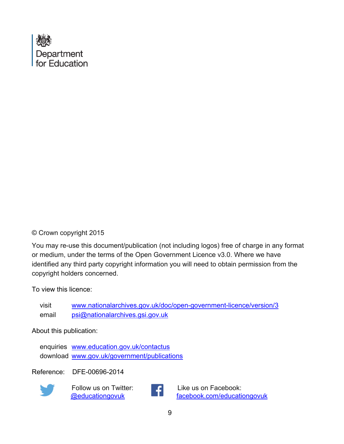

#### © Crown copyright 2015

You may re-use this document/publication (not including logos) free of charge in any format or medium, under the terms of the Open Government Licence v3.0. Where we have identified any third party copyright information you will need to obtain permission from the copyright holders concerned.

To view this licence:

visit [www.nationalarchives.gov.uk/doc/open-government-licence/version/3](http://www.nationalarchives.gov.uk/doc/open-government-licence/version/2) email [psi@nationalarchives.gsi.gov.uk](mailto:psi@nationalarchives.gsi.gov.uk)

About this publication:

enquiries [www.education.gov.uk/contactus](http://www.education.gov.uk/contactus)  download [www.gov.uk/government/publications](http://www.gov.uk/government/publications) 

Reference: DFE-00696-2014



 Follow us on Twitter: [@educationgovuk](http://twitter.com/educationgovuk)



Like us on Facebook: [facebook.com/educationgovuk](http://www.facebook.com/educationgovuk)